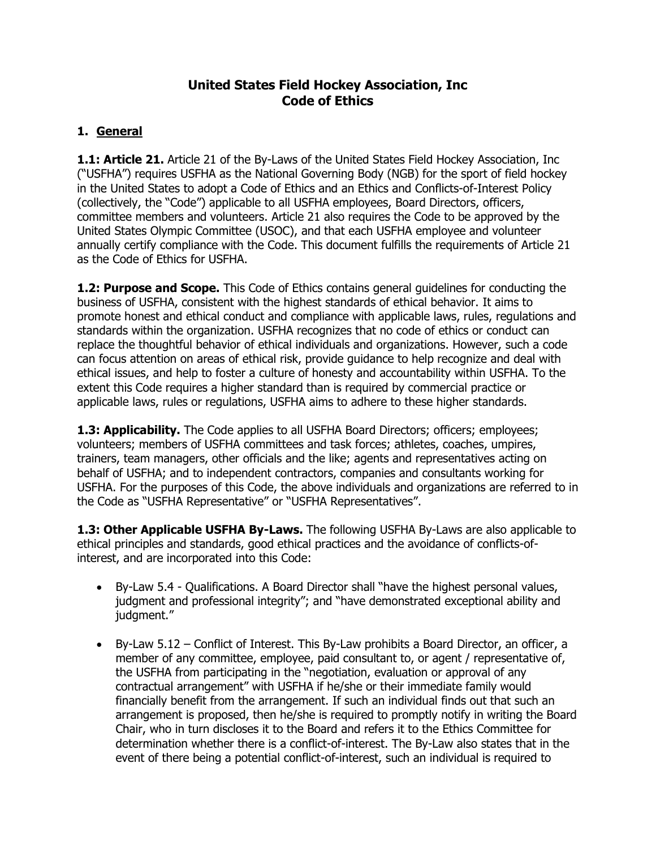### **United States Field Hockey Association, Inc Code of Ethics**

### **1. General**

**1.1: Article 21.** Article 21 of the By-Laws of the United States Field Hockey Association, Inc ("USFHA") requires USFHA as the National Governing Body (NGB) for the sport of field hockey in the United States to adopt a Code of Ethics and an Ethics and Conflicts-of-Interest Policy (collectively, the "Code") applicable to all USFHA employees, Board Directors, officers, committee members and volunteers. Article 21 also requires the Code to be approved by the United States Olympic Committee (USOC), and that each USFHA employee and volunteer annually certify compliance with the Code. This document fulfills the requirements of Article 21 as the Code of Ethics for USFHA.

**1.2: Purpose and Scope.** This Code of Ethics contains general guidelines for conducting the business of USFHA, consistent with the highest standards of ethical behavior. It aims to promote honest and ethical conduct and compliance with applicable laws, rules, regulations and standards within the organization. USFHA recognizes that no code of ethics or conduct can replace the thoughtful behavior of ethical individuals and organizations. However, such a code can focus attention on areas of ethical risk, provide guidance to help recognize and deal with ethical issues, and help to foster a culture of honesty and accountability within USFHA. To the extent this Code requires a higher standard than is required by commercial practice or applicable laws, rules or regulations, USFHA aims to adhere to these higher standards.

**1.3: Applicability.** The Code applies to all USFHA Board Directors; officers; employees; volunteers; members of USFHA committees and task forces; athletes, coaches, umpires, trainers, team managers, other officials and the like; agents and representatives acting on behalf of USFHA; and to independent contractors, companies and consultants working for USFHA. For the purposes of this Code, the above individuals and organizations are referred to in the Code as "USFHA Representative" or "USFHA Representatives".

**1.3: Other Applicable USFHA By-Laws.** The following USFHA By-Laws are also applicable to ethical principles and standards, good ethical practices and the avoidance of conflicts-ofinterest, and are incorporated into this Code:

- By-Law 5.4 Qualifications. A Board Director shall "have the highest personal values, judgment and professional integrity"; and "have demonstrated exceptional ability and judgment."
- By-Law 5.12 Conflict of Interest. This By-Law prohibits a Board Director, an officer, a member of any committee, employee, paid consultant to, or agent / representative of, the USFHA from participating in the "negotiation, evaluation or approval of any contractual arrangement" with USFHA if he/she or their immediate family would financially benefit from the arrangement. If such an individual finds out that such an arrangement is proposed, then he/she is required to promptly notify in writing the Board Chair, who in turn discloses it to the Board and refers it to the Ethics Committee for determination whether there is a conflict-of-interest. The By-Law also states that in the event of there being a potential conflict-of-interest, such an individual is required to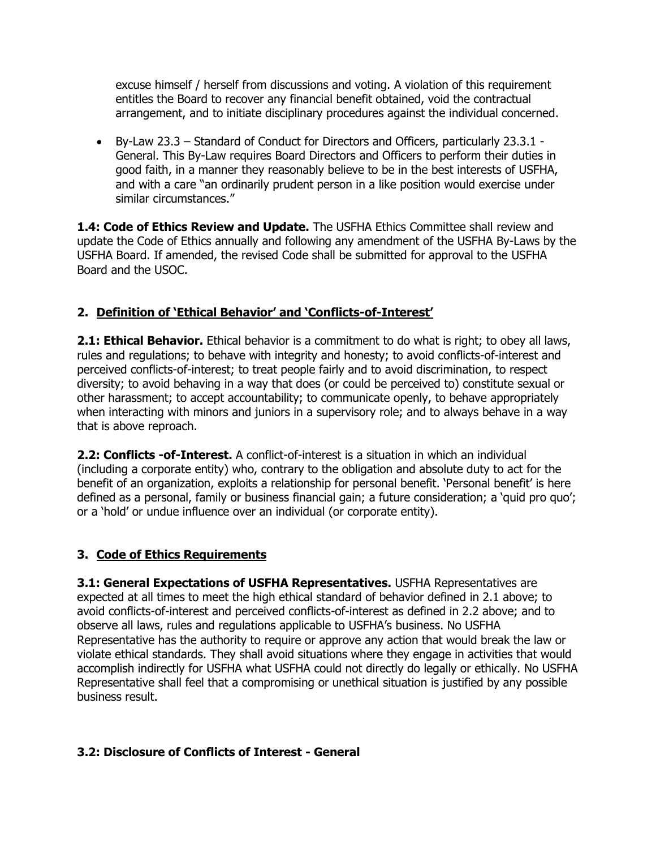excuse himself / herself from discussions and voting. A violation of this requirement entitles the Board to recover any financial benefit obtained, void the contractual arrangement, and to initiate disciplinary procedures against the individual concerned.

 By-Law 23.3 – Standard of Conduct for Directors and Officers, particularly 23.3.1 - General. This By-Law requires Board Directors and Officers to perform their duties in good faith, in a manner they reasonably believe to be in the best interests of USFHA, and with a care "an ordinarily prudent person in a like position would exercise under similar circumstances."

**1.4: Code of Ethics Review and Update.** The USFHA Ethics Committee shall review and update the Code of Ethics annually and following any amendment of the USFHA By-Laws by the USFHA Board. If amended, the revised Code shall be submitted for approval to the USFHA Board and the USOC.

### **2. Definition of 'Ethical Behavior' and 'Conflicts-of-Interest'**

**2.1: Ethical Behavior.** Ethical behavior is a commitment to do what is right; to obey all laws, rules and regulations; to behave with integrity and honesty; to avoid conflicts-of-interest and perceived conflicts-of-interest; to treat people fairly and to avoid discrimination, to respect diversity; to avoid behaving in a way that does (or could be perceived to) constitute sexual or other harassment; to accept accountability; to communicate openly, to behave appropriately when interacting with minors and juniors in a supervisory role; and to always behave in a way that is above reproach.

**2.2: Conflicts -of-Interest.** A conflict-of-interest is a situation in which an individual (including a corporate entity) who, contrary to the obligation and absolute duty to act for the benefit of an organization, exploits a relationship for personal benefit. 'Personal benefit' is here defined as a personal, family or business financial gain; a future consideration; a 'quid pro quo'; or a 'hold' or undue influence over an individual (or corporate entity).

### **3. Code of Ethics Requirements**

**3.1: General Expectations of USFHA Representatives.** USFHA Representatives are expected at all times to meet the high ethical standard of behavior defined in 2.1 above; to avoid conflicts-of-interest and perceived conflicts-of-interest as defined in 2.2 above; and to observe all laws, rules and regulations applicable to USFHA's business. No USFHA Representative has the authority to require or approve any action that would break the law or violate ethical standards. They shall avoid situations where they engage in activities that would accomplish indirectly for USFHA what USFHA could not directly do legally or ethically. No USFHA Representative shall feel that a compromising or unethical situation is justified by any possible business result.

### **3.2: Disclosure of Conflicts of Interest - General**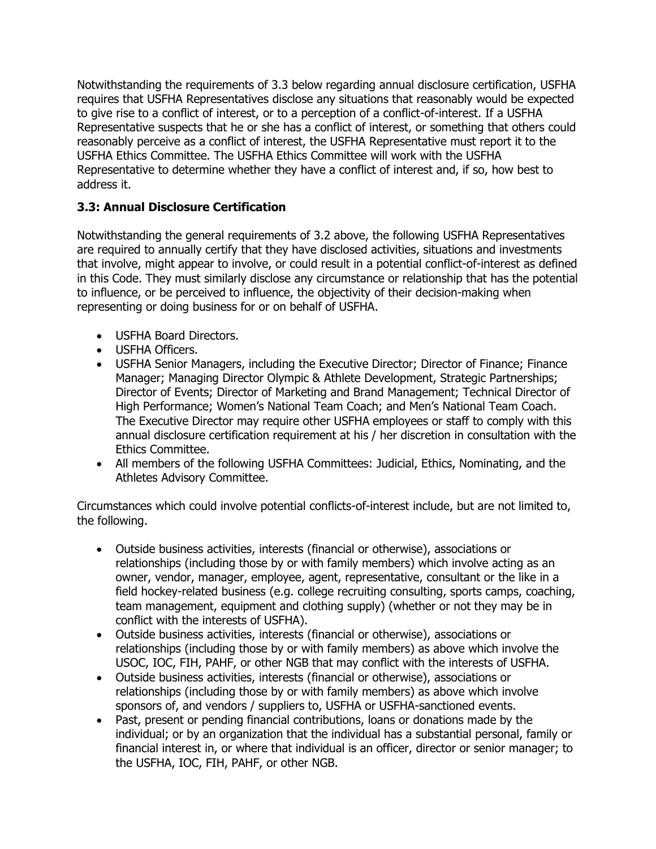Notwithstanding the requirements of 3.3 below regarding annual disclosure certification, USFHA requires that USFHA Representatives disclose any situations that reasonably would be expected to give rise to a conflict of interest, or to a perception of a conflict-of-interest. If a USFHA Representative suspects that he or she has a conflict of interest, or something that others could reasonably perceive as a conflict of interest, the USFHA Representative must report it to the USFHA Ethics Committee. The USFHA Ethics Committee will work with the USFHA Representative to determine whether they have a conflict of interest and, if so, how best to address it.

## **3.3: Annual Disclosure Certification**

Notwithstanding the general requirements of 3.2 above, the following USFHA Representatives are required to annually certify that they have disclosed activities, situations and investments that involve, might appear to involve, or could result in a potential conflict-of-interest as defined in this Code. They must similarly disclose any circumstance or relationship that has the potential to influence, or be perceived to influence, the objectivity of their decision-making when representing or doing business for or on behalf of USFHA.

- USFHA Board Directors.
- USFHA Officers.
- USFHA Senior Managers, including the Executive Director; Director of Finance; Finance Manager; Managing Director Olympic & Athlete Development, Strategic Partnerships; Director of Events; Director of Marketing and Brand Management; Technical Director of High Performance; Women's National Team Coach; and Men's National Team Coach. The Executive Director may require other USFHA employees or staff to comply with this annual disclosure certification requirement at his / her discretion in consultation with the Ethics Committee.
- All members of the following USFHA Committees: Judicial, Ethics, Nominating, and the Athletes Advisory Committee.

Circumstances which could involve potential conflicts-of-interest include, but are not limited to, the following.

- Outside business activities, interests (financial or otherwise), associations or relationships (including those by or with family members) which involve acting as an owner, vendor, manager, employee, agent, representative, consultant or the like in a field hockey-related business (e.g. college recruiting consulting, sports camps, coaching, team management, equipment and clothing supply) (whether or not they may be in conflict with the interests of USFHA).
- Outside business activities, interests (financial or otherwise), associations or relationships (including those by or with family members) as above which involve the USOC, IOC, FIH, PAHF, or other NGB that may conflict with the interests of USFHA.
- Outside business activities, interests (financial or otherwise), associations or relationships (including those by or with family members) as above which involve sponsors of, and vendors / suppliers to, USFHA or USFHA-sanctioned events.
- Past, present or pending financial contributions, loans or donations made by the individual; or by an organization that the individual has a substantial personal, family or financial interest in, or where that individual is an officer, director or senior manager; to the USFHA, IOC, FIH, PAHF, or other NGB.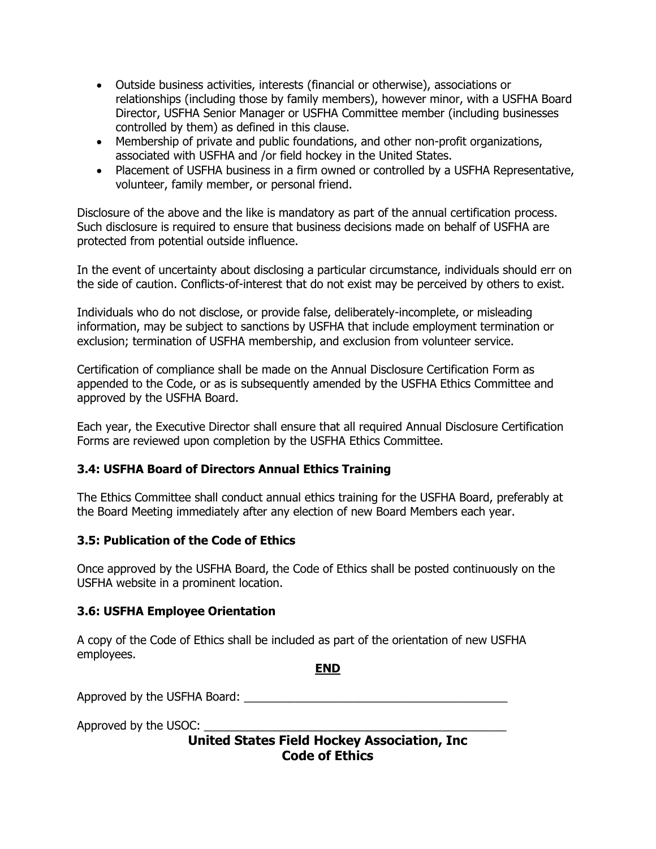- Outside business activities, interests (financial or otherwise), associations or relationships (including those by family members), however minor, with a USFHA Board Director, USFHA Senior Manager or USFHA Committee member (including businesses controlled by them) as defined in this clause.
- Membership of private and public foundations, and other non-profit organizations, associated with USFHA and /or field hockey in the United States.
- Placement of USFHA business in a firm owned or controlled by a USFHA Representative, volunteer, family member, or personal friend.

Disclosure of the above and the like is mandatory as part of the annual certification process. Such disclosure is required to ensure that business decisions made on behalf of USFHA are protected from potential outside influence.

In the event of uncertainty about disclosing a particular circumstance, individuals should err on the side of caution. Conflicts-of-interest that do not exist may be perceived by others to exist.

Individuals who do not disclose, or provide false, deliberately-incomplete, or misleading information, may be subject to sanctions by USFHA that include employment termination or exclusion; termination of USFHA membership, and exclusion from volunteer service.

Certification of compliance shall be made on the Annual Disclosure Certification Form as appended to the Code, or as is subsequently amended by the USFHA Ethics Committee and approved by the USFHA Board.

Each year, the Executive Director shall ensure that all required Annual Disclosure Certification Forms are reviewed upon completion by the USFHA Ethics Committee.

#### **3.4: USFHA Board of Directors Annual Ethics Training**

The Ethics Committee shall conduct annual ethics training for the USFHA Board, preferably at the Board Meeting immediately after any election of new Board Members each year.

#### **3.5: Publication of the Code of Ethics**

Once approved by the USFHA Board, the Code of Ethics shall be posted continuously on the USFHA website in a prominent location.

#### **3.6: USFHA Employee Orientation**

A copy of the Code of Ethics shall be included as part of the orientation of new USFHA employees.

**END**

Approved by the USFHA Board:  $\blacksquare$ 

Approved by the USOC: \_\_\_\_\_\_\_\_\_\_\_\_\_\_\_\_\_\_\_\_\_\_\_\_\_\_\_\_\_\_\_\_\_\_\_\_\_\_\_\_\_\_\_\_\_\_\_

**United States Field Hockey Association, Inc Code of Ethics**